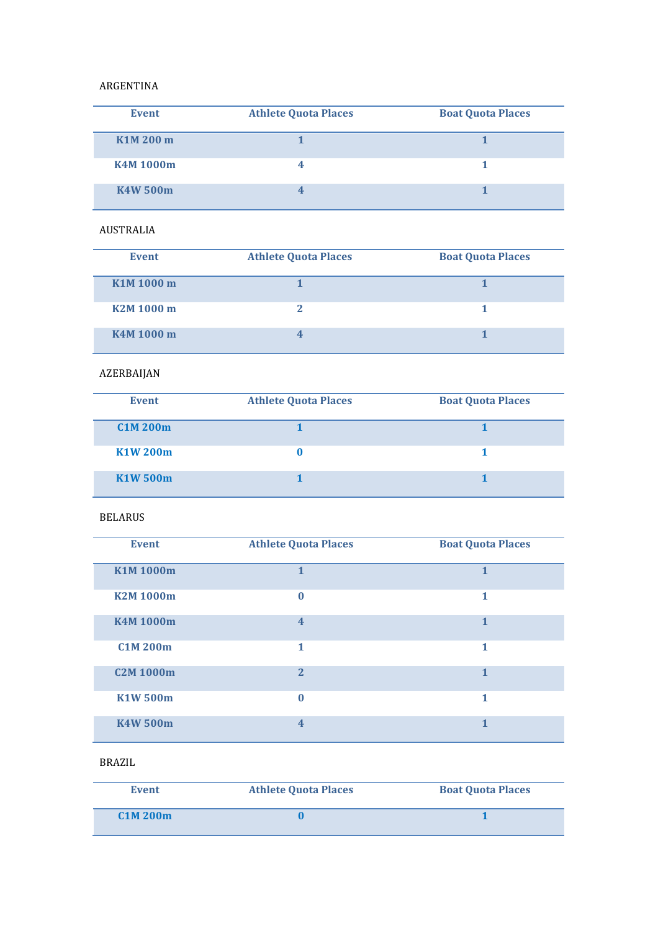#### ARGENTINA

| <b>Event</b>    | <b>Athlete Quota Places</b> | <b>Boat Quota Places</b> |
|-----------------|-----------------------------|--------------------------|
| K1M 200 m       |                             |                          |
| <b>K4M1000m</b> |                             |                          |
| <b>K4W 500m</b> |                             |                          |

## AUSTRALIA

| <b>Event</b> | <b>Athlete Quota Places</b> | <b>Boat Quota Places</b> |
|--------------|-----------------------------|--------------------------|
| K1M 1000 m   |                             |                          |
| K2M 1000 m   |                             |                          |
| K4M 1000 m   |                             |                          |

# AZERBAIJAN

| <b>Event</b>    | <b>Athlete Quota Places</b> | <b>Boat Quota Places</b> |
|-----------------|-----------------------------|--------------------------|
| <b>C1M 200m</b> |                             |                          |
| <b>K1W 200m</b> |                             |                          |
| <b>K1W 500m</b> |                             |                          |

#### BELARUS

| <b>Event</b>     | <b>Athlete Quota Places</b> | <b>Boat Quota Places</b> |
|------------------|-----------------------------|--------------------------|
| <b>K1M1000m</b>  | $\mathbf{1}$                | $\mathbf{1}$             |
| <b>K2M1000m</b>  | $\bf{0}$                    | 1                        |
| <b>K4M1000m</b>  | $\overline{4}$              | $\mathbf{1}$             |
| <b>C1M 200m</b>  | 1                           | 1                        |
| <b>C2M 1000m</b> | $\overline{2}$              | $\mathbf{1}$             |
| <b>K1W 500m</b>  | $\mathbf{0}$                | 1                        |
| <b>K4W 500m</b>  | $\overline{\mathbf{4}}$     |                          |

# BRAZIL

| Event    | <b>Athlete Quota Places</b> | <b>Boat Quota Places</b> |
|----------|-----------------------------|--------------------------|
| CMM 200m |                             |                          |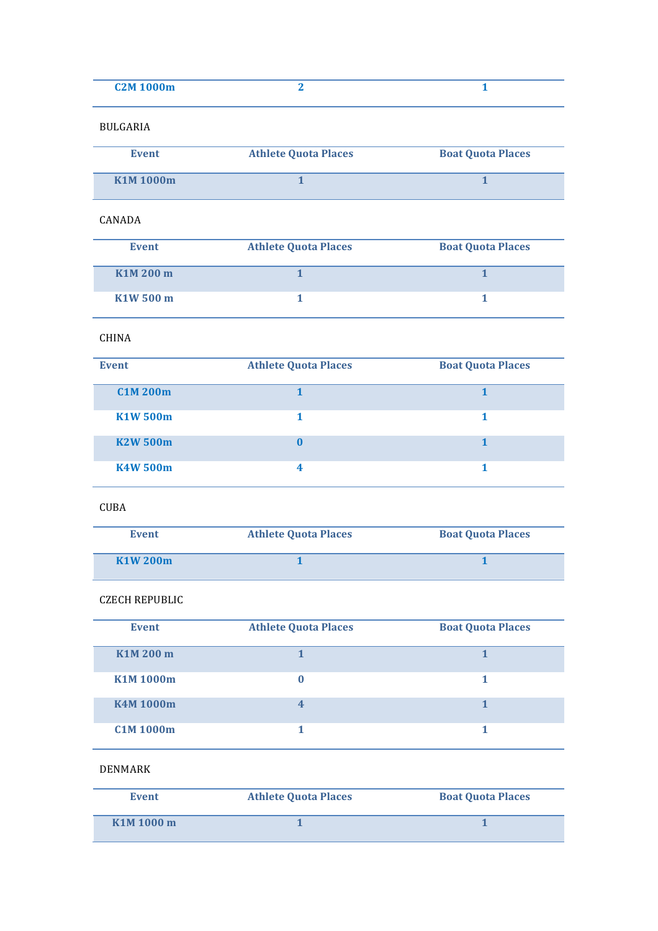| <b>C2M 1000m</b> |  |
|------------------|--|
|                  |  |

#### BULGARIA

| <b>Event</b>                       | <b>Athlete Quota Places</b> | <b>Boat Quota Places</b> |
|------------------------------------|-----------------------------|--------------------------|
| K <sub>1</sub> M <sub>1000</sub> m |                             |                          |

#### CANADA

| <b>Event</b> | <b>Athlete Quota Places</b> | <b>Boat Quota Places</b> |
|--------------|-----------------------------|--------------------------|
| K1M 200 m    |                             |                          |
| K1W 500 m    |                             |                          |

# CHINA

| <b>Event</b>    | <b>Athlete Quota Places</b> | <b>Boat Quota Places</b> |
|-----------------|-----------------------------|--------------------------|
| CMM 200m        |                             |                          |
| K1W 500m        |                             |                          |
| <b>K2W 500m</b> | o                           |                          |
| <b>K4W 500m</b> | 4                           |                          |

## CUBA

| <b>Event</b>                      | <b>Athlete Quota Places</b> | <b>Boat Quota Places</b> |
|-----------------------------------|-----------------------------|--------------------------|
| K <sub>1</sub> W <sub>200</sub> m |                             |                          |

## CZECH REPUBLIC

| <b>Event</b>     | <b>Athlete Quota Places</b> | <b>Boat Quota Places</b> |
|------------------|-----------------------------|--------------------------|
| K1M 200 m        |                             |                          |
| <b>K1M1000m</b>  |                             |                          |
| <b>K4M1000m</b>  | 4                           |                          |
| <b>C1M 1000m</b> |                             |                          |

# DENMARK

| Event      | <b>Athlete Quota Places</b> | <b>Boat Quota Places</b> |
|------------|-----------------------------|--------------------------|
| K1M 1000 m |                             |                          |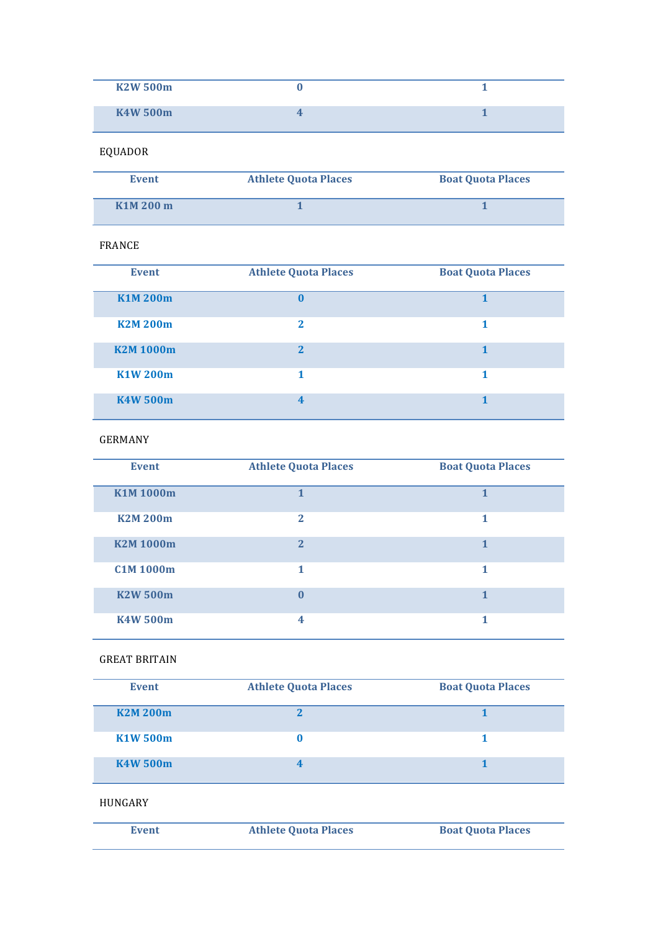| <b>K2W 500m</b> |  |
|-----------------|--|
| <b>K4W 500m</b> |  |

# EQUADOR

| Event     | <b>Athlete Quota Places</b> | <b>Boat Quota Places</b> |
|-----------|-----------------------------|--------------------------|
| K1M 200 m |                             |                          |

#### FRANCE

| <b>Event</b>    | <b>Athlete Quota Places</b> | <b>Boat Quota Places</b> |
|-----------------|-----------------------------|--------------------------|
| <b>K1M200m</b>  | $\mathbf{0}$                |                          |
| <b>K2M 200m</b> | $\overline{2}$              |                          |
| <b>K2M1000m</b> | $\mathbf{p}$                |                          |
| K1W 200m        |                             |                          |
| <b>K4W 500m</b> | 4                           |                          |

# GERMANY

| <b>Event</b>     | <b>Athlete Quota Places</b> | <b>Boat Quota Places</b> |
|------------------|-----------------------------|--------------------------|
| <b>K1M1000m</b>  | 1                           | 1                        |
| <b>K2M200m</b>   | $\mathbf{2}$                | 1                        |
| <b>K2M1000m</b>  | $\overline{2}$              | 1                        |
| <b>C1M 1000m</b> | 1                           | 1                        |
| <b>K2W 500m</b>  | $\mathbf{0}$                | 1                        |
| <b>K4W 500m</b>  | 4                           | 1                        |

#### **GREAT BRITAIN**

| <b>Event</b>    | <b>Athlete Quota Places</b> | <b>Boat Quota Places</b> |
|-----------------|-----------------------------|--------------------------|
| <b>K2M 200m</b> |                             |                          |
| K1W 500m        |                             |                          |
| <b>K4W 500m</b> |                             |                          |

#### HUNGARY

| Event | <b>Athlete Quota Places</b> | <b>Boat Quota Places</b> |
|-------|-----------------------------|--------------------------|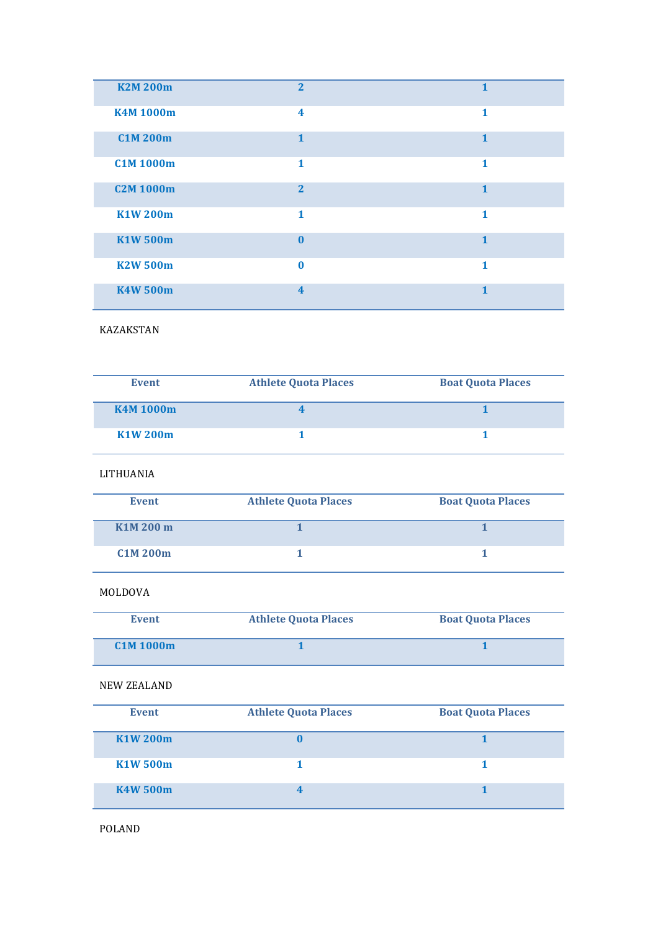| <b>K2M 200m</b>  | $\overline{2}$          | $\mathbf{1}$ |
|------------------|-------------------------|--------------|
| <b>K4M1000m</b>  | $\overline{\mathbf{4}}$ | 1            |
| <b>C1M 200m</b>  | $\mathbf{1}$            | $\mathbf{1}$ |
| <b>C1M 1000m</b> | 1                       | 1            |
| <b>C2M 1000m</b> | $\overline{2}$          | $\mathbf{1}$ |
| <b>K1W 200m</b>  | 1                       | 1            |
| <b>K1W 500m</b>  | $\mathbf{0}$            | $\mathbf{1}$ |
| <b>K2W 500m</b>  | $\mathbf{0}$            | $\mathbf{1}$ |
| <b>K4W 500m</b>  | $\overline{\mathbf{4}}$ | $\mathbf{1}$ |

KAZAKSTAN

| <b>Event</b>     | <b>Athlete Quota Places</b> | <b>Boat Quota Places</b> |
|------------------|-----------------------------|--------------------------|
| <b>K4M 1000m</b> |                             |                          |
| K1W 200m         |                             |                          |

LITHUANIA

| <b>Event</b> | <b>Athlete Quota Places</b> | <b>Boat Quota Places</b> |
|--------------|-----------------------------|--------------------------|
| K1M 200 m    |                             |                          |
| CMM 200m     |                             |                          |

# MOLDOVA

| Event          | <b>Athlete Quota Places</b> | <b>Boat Quota Places</b> |
|----------------|-----------------------------|--------------------------|
| $CMM$ 1000 $m$ |                             |                          |

## NEW ZEALAND

| <b>Event</b>    | <b>Athlete Quota Places</b> | <b>Boat Quota Places</b> |
|-----------------|-----------------------------|--------------------------|
| <b>K1W 200m</b> |                             |                          |
| K1W 500m        |                             |                          |
| <b>K4W 500m</b> |                             |                          |

POLAND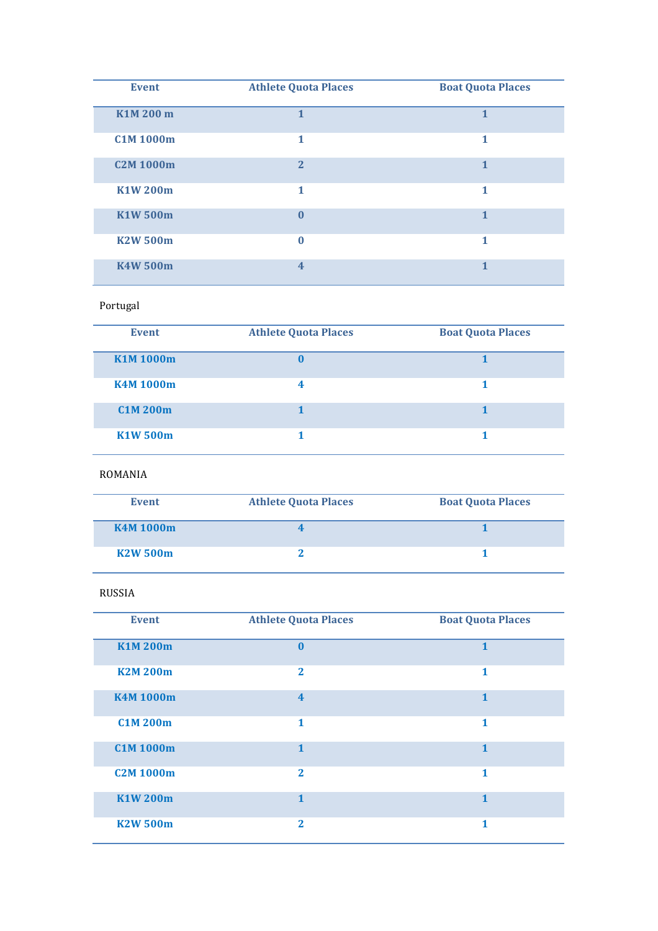| <b>Event</b>     | <b>Athlete Quota Places</b> | <b>Boat Quota Places</b> |
|------------------|-----------------------------|--------------------------|
| K1M 200 m        | $\mathbf{1}$                | 1                        |
| <b>C1M 1000m</b> | 1                           | 1                        |
| <b>C2M 1000m</b> | $\overline{2}$              | 1                        |
| <b>K1W200m</b>   | 1                           | 1                        |
| <b>K1W 500m</b>  | $\mathbf{0}$                | 1                        |
| <b>K2W 500m</b>  | $\mathbf{0}$                | 1                        |
| <b>K4W 500m</b>  | $\overline{\mathbf{4}}$     | 1                        |

## Portugal

| <b>Event</b>    | <b>Athlete Quota Places</b> | <b>Boat Quota Places</b> |
|-----------------|-----------------------------|--------------------------|
| <b>K1M1000m</b> |                             |                          |
| <b>K4M1000m</b> |                             |                          |
| <b>C1M 200m</b> |                             |                          |
| <b>K1W 500m</b> |                             |                          |

#### ROMANIA

| <b>Event</b>     | <b>Athlete Quota Places</b> | <b>Boat Quota Places</b> |
|------------------|-----------------------------|--------------------------|
| <b>K4M 1000m</b> |                             |                          |
| <b>K2W 500m</b>  |                             |                          |

## RUSSIA

| <b>Event</b>     | <b>Athlete Quota Places</b> | <b>Boat Quota Places</b> |
|------------------|-----------------------------|--------------------------|
| <b>K1M200m</b>   | $\mathbf{0}$                | $\mathbf{1}$             |
| <b>K2M200m</b>   | $\mathbf{2}$                | 1                        |
| <b>K4M1000m</b>  | $\overline{\mathbf{4}}$     | $\mathbf{1}$             |
| <b>C1M 200m</b>  | $\mathbf{1}$                | 1                        |
| <b>C1M 1000m</b> | $\mathbf{1}$                | $\mathbf{1}$             |
| <b>C2M 1000m</b> | $\mathbf{2}$                | 1                        |
| <b>K1W200m</b>   | 1                           | $\mathbf{1}$             |
| <b>K2W 500m</b>  | $\bf{z}$                    | 1                        |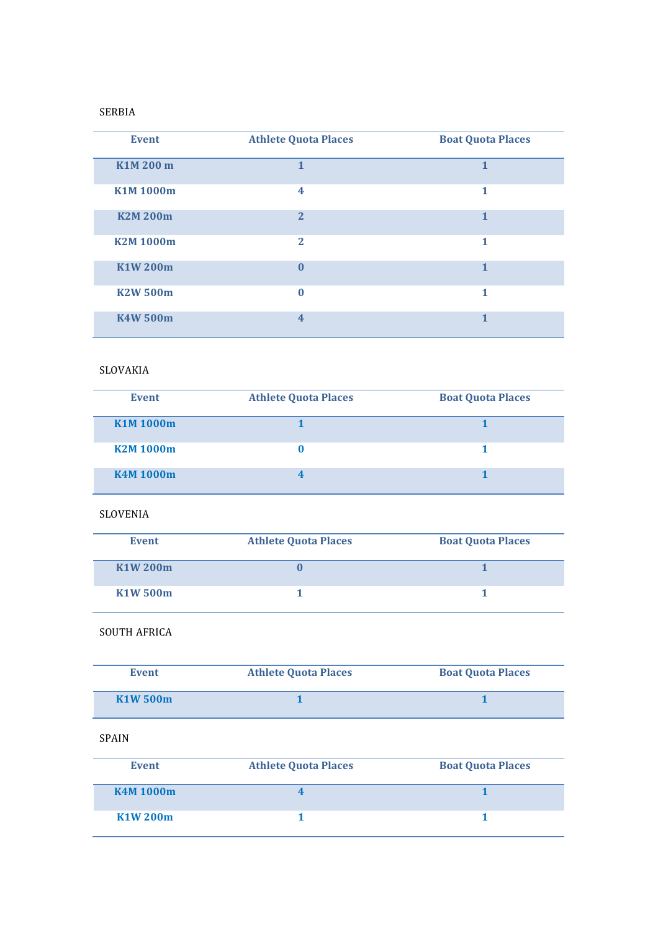#### SERBIA

| <b>Event</b>    | <b>Athlete Quota Places</b> | <b>Boat Quota Places</b> |
|-----------------|-----------------------------|--------------------------|
| K1M 200 m       | $\mathbf{1}$                | $\mathbf{1}$             |
| <b>K1M1000m</b> | $\overline{4}$              | 1                        |
| <b>K2M200m</b>  | $\overline{2}$              | 1                        |
| <b>K2M1000m</b> | $\overline{2}$              | 1                        |
| <b>K1W200m</b>  | $\mathbf{0}$                | $\mathbf{1}$             |
| <b>K2W 500m</b> | $\Omega$                    | 1                        |
| <b>K4W 500m</b> | $\overline{4}$              | 1                        |

# SLOVAKIA

| <b>Event</b>    | <b>Athlete Quota Places</b> | <b>Boat Quota Places</b> |
|-----------------|-----------------------------|--------------------------|
| <b>K1M1000m</b> |                             |                          |
| <b>K2M1000m</b> |                             |                          |
| <b>K4M1000m</b> |                             |                          |

#### SLOVENIA

| <b>Event</b> | <b>Athlete Quota Places</b> | <b>Boat Quota Places</b> |
|--------------|-----------------------------|--------------------------|
| K1W 200m     |                             |                          |
| K1W 500m     |                             |                          |

#### SOUTH AFRICA

| Event                            | <b>Athlete Quota Places</b> | <b>Boat Quota Places</b> |
|----------------------------------|-----------------------------|--------------------------|
| K <sub>1</sub> W <sub>500m</sub> |                             |                          |

# SPAIN

| <b>Event</b>     | <b>Athlete Quota Places</b> | <b>Boat Quota Places</b> |
|------------------|-----------------------------|--------------------------|
| <b>K4M 1000m</b> |                             |                          |
| K1W 200m         |                             |                          |